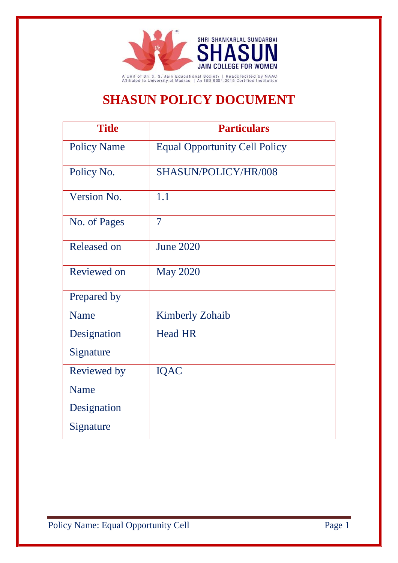

## **SHASUN POLICY DOCUMENT**

| <b>Title</b>       | <b>Particulars</b>                   |
|--------------------|--------------------------------------|
| <b>Policy Name</b> | <b>Equal Opportunity Cell Policy</b> |
| Policy No.         | SHASUN/POLICY/HR/008                 |
| Version No.        | 1.1                                  |
| No. of Pages       | $\overline{7}$                       |
| <b>Released on</b> | <b>June 2020</b>                     |
| Reviewed on        | <b>May 2020</b>                      |
| Prepared by        |                                      |
| <b>Name</b>        | <b>Kimberly Zohaib</b>               |
| Designation        | <b>Head HR</b>                       |
| Signature          |                                      |
| Reviewed by        | <b>IQAC</b>                          |
| <b>Name</b>        |                                      |
| Designation        |                                      |
| Signature          |                                      |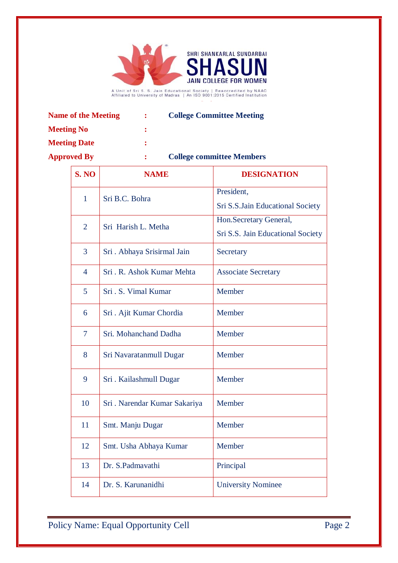

| <b>Name of the Meeting</b> | <b>College Committee Meeting</b> |
|----------------------------|----------------------------------|
| <b>Meeting No</b>          |                                  |

**Meeting Date :**

**Approved By : College committee Members**

| S.NO           | <b>NAME</b>                   | <b>DESIGNATION</b>                |
|----------------|-------------------------------|-----------------------------------|
| $\mathbf{1}$   | Sri B.C. Bohra                | President,                        |
|                |                               | Sri S.S.Jain Educational Society  |
| $\overline{2}$ | Sri Harish L. Metha           | Hon.Secretary General,            |
|                |                               | Sri S.S. Jain Educational Society |
| 3              | Sri. Abhaya Srisirmal Jain    | Secretary                         |
| $\overline{4}$ | Sri. R. Ashok Kumar Mehta     | <b>Associate Secretary</b>        |
| 5              | Sri. S. Vimal Kumar           | Member                            |
| 6              | Sri . Ajit Kumar Chordia      | Member                            |
| $\overline{7}$ | Sri. Mohanchand Dadha         | Member                            |
| 8              | Sri Navaratanmull Dugar       | Member                            |
| 9              | Sri. Kailashmull Dugar        | Member                            |
| 10             | Sri . Narendar Kumar Sakariya | Member                            |
| 11             | Smt. Manju Dugar              | Member                            |
| 12             | Smt. Usha Abhaya Kumar        | Member                            |
| 13             | Dr. S.Padmavathi              | Principal                         |
| 14             | Dr. S. Karunanidhi            | <b>University Nominee</b>         |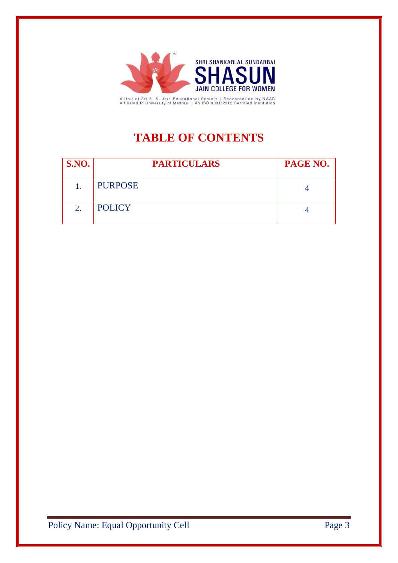

A Unit of Sri S. S. Jain Educational Society | Reaccredited by NAAC<br>Affiliated to University of Madras | An ISO 9001:2015 Certified Institution

### **TABLE OF CONTENTS**

| <b>S.NO.</b> | <b>PARTICULARS</b> | PAGE NO. |
|--------------|--------------------|----------|
|              | <b>PURPOSE</b>     |          |
| 2.           | <b>POLICY</b>      |          |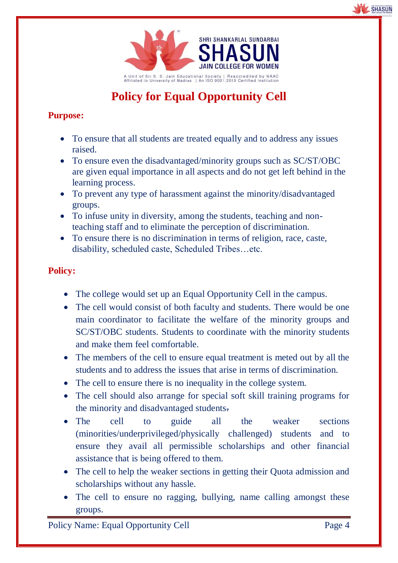



# **Policy for Equal Opportunity Cell**

### **Purpose:**

- To ensure that all students are treated equally and to address any issues raised.
- To ensure even the disadvantaged/minority groups such as SC/ST/OBC are given equal importance in all aspects and do not get left behind in the learning process.
- To prevent any type of harassment against the minority/disadvantaged groups.
- To infuse unity in diversity, among the students, teaching and nonteaching staff and to eliminate the perception of discrimination.
- To ensure there is no discrimination in terms of religion, race, caste, disability, scheduled caste, Scheduled Tribes…etc.

#### **Policy:**

- The college would set up an Equal Opportunity Cell in the campus.
- The cell would consist of both faculty and students. There would be one main coordinator to facilitate the welfare of the minority groups and SC/ST/OBC students. Students to coordinate with the minority students and make them feel comfortable.
- The members of the cell to ensure equal treatment is meted out by all the students and to address the issues that arise in terms of discrimination.
- The cell to ensure there is no inequality in the college system.
- The cell should also arrange for special soft skill training programs for the minority and disadvantaged students.
- The cell to guide all the weaker sections (minorities/underprivileged/physically challenged) students and to ensure they avail all permissible scholarships and other financial assistance that is being offered to them.
- The cell to help the weaker sections in getting their Quota admission and scholarships without any hassle.
- The cell to ensure no ragging, bullying, name calling amongst these groups.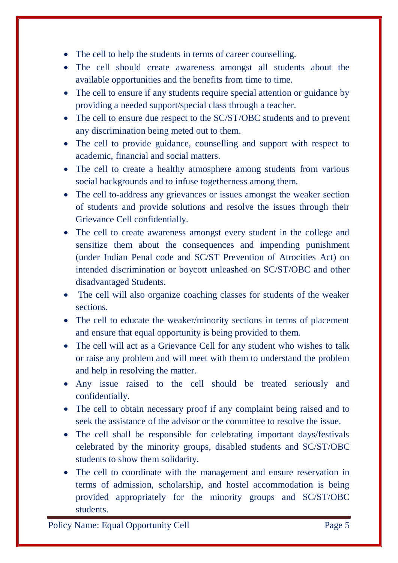- The cell to help the students in terms of career counselling.
- The cell should create awareness amongst all students about the available opportunities and the benefits from time to time.
- The cell to ensure if any students require special attention or guidance by providing a needed support/special class through a teacher.
- The cell to ensure due respect to the SC/ST/OBC students and to prevent any discrimination being meted out to them.
- The cell to provide guidance, counselling and support with respect to academic, financial and social matters.
- The cell to create a healthy atmosphere among students from various social backgrounds and to infuse togetherness among them.
- The cell to-address any grievances or issues amongst the weaker section of students and provide solutions and resolve the issues through their Grievance Cell confidentially.
- The cell to create awareness amongst every student in the college and sensitize them about the consequences and impending punishment (under Indian Penal code and SC/ST Prevention of Atrocities Act) on intended discrimination or boycott unleashed on SC/ST/OBC and other disadvantaged Students.
- The cell will also organize coaching classes for students of the weaker sections.
- The cell to educate the weaker/minority sections in terms of placement and ensure that equal opportunity is being provided to them.
- The cell will act as a Grievance Cell for any student who wishes to talk or raise any problem and will meet with them to understand the problem and help in resolving the matter.
- Any issue raised to the cell should be treated seriously and confidentially.
- The cell to obtain necessary proof if any complaint being raised and to seek the assistance of the advisor or the committee to resolve the issue.
- The cell shall be responsible for celebrating important days/festivals celebrated by the minority groups, disabled students and SC/ST/OBC students to show them solidarity.
- The cell to coordinate with the management and ensure reservation in terms of admission, scholarship, and hostel accommodation is being provided appropriately for the minority groups and SC/ST/OBC students.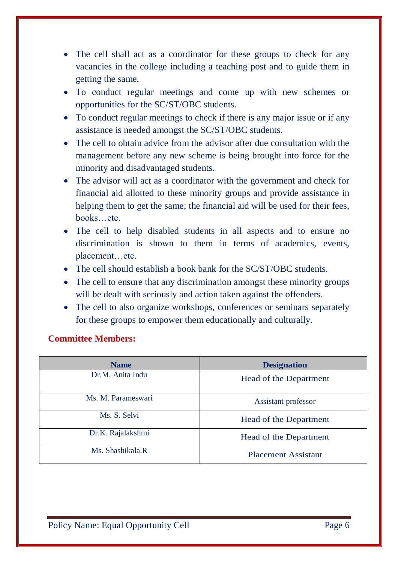- The cell shall act as a coordinator for these groups to check for any vacancies in the college including a teaching post and to guide them in getting the same.
- To conduct regular meetings and come up with new schemes or opportunities for the SC/ST/OBC students.
- To conduct regular meetings to check if there is any major issue or if any assistance is needed amongst the SC/ST/OBC students.
- The cell to obtain advice from the advisor after due consultation with the management before any new scheme is being brought into force for the minority and disadvantaged students.
- The advisor will act as a coordinator with the government and check for financial aid allotted to these minority groups and provide assistance in helping them to get the same; the financial aid will be used for their fees, books…etc.
- The cell to help disabled students in all aspects and to ensure no discrimination is shown to them in terms of academics, events, placement…etc.
- The cell should establish a book bank for the SC/ST/OBC students.
- The cell to ensure that any discrimination amongst these minority groups will be dealt with seriously and action taken against the offenders.
- The cell to also organize workshops, conferences or seminars separately for these groups to empower them educationally and culturally.

#### **Committee Members:**

| <b>Name</b>        | <b>Designation</b>         |
|--------------------|----------------------------|
| Dr.M. Anita Indu   | Head of the Department     |
| Ms. M. Parameswari | Assistant professor        |
| Ms. S. Selvi       | Head of the Department     |
| Dr.K. Rajalakshmi  | Head of the Department     |
| Ms. Shashikala.R   | <b>Placement Assistant</b> |